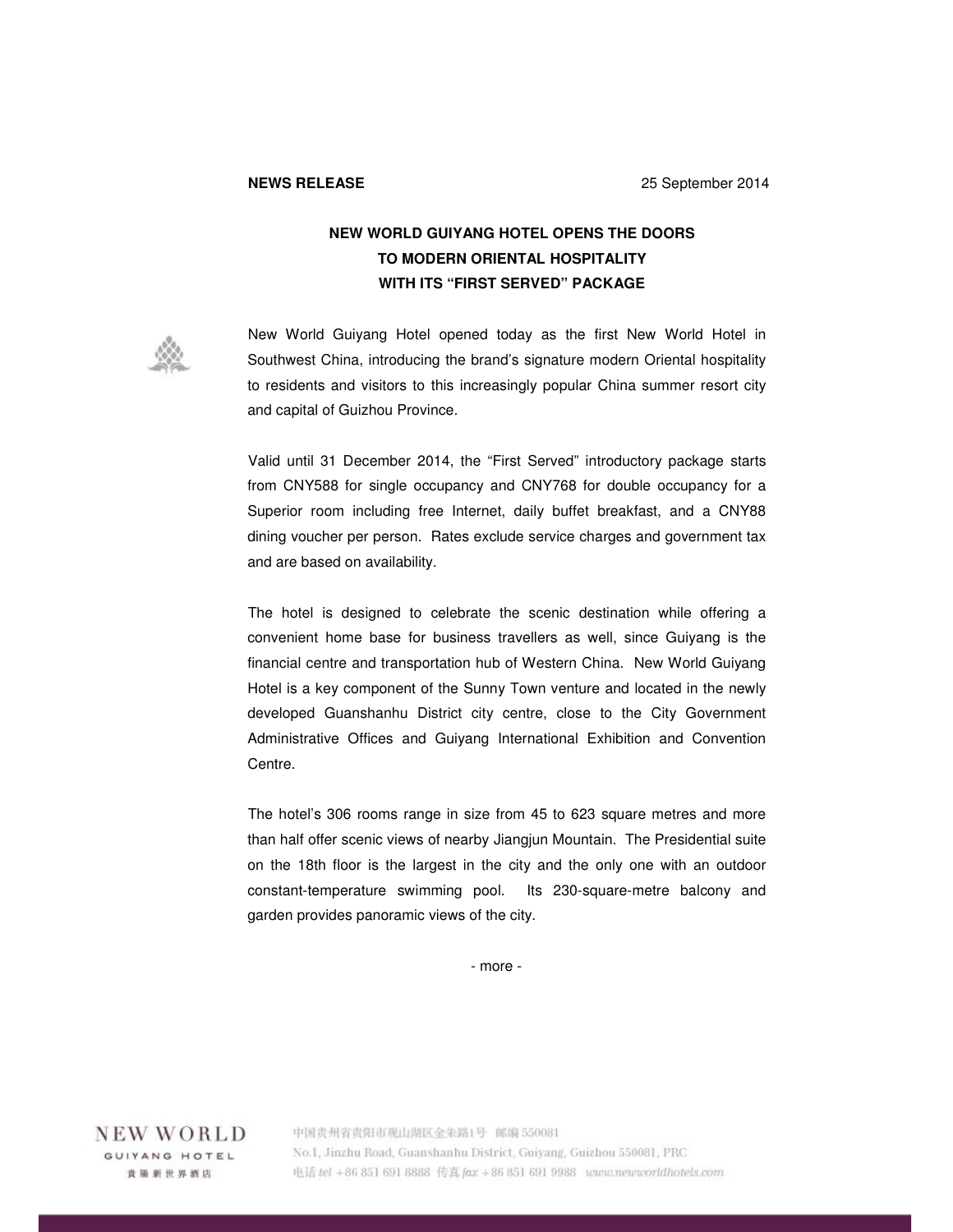## **NEW WORLD GUIYANG HOTEL OPENS THE DOORS TO MODERN ORIENTAL HOSPITALITY WITH ITS "FIRST SERVED" PACKAGE**



New World Guiyang Hotel opened today as the first New World Hotel in Southwest China, introducing the brand's signature modern Oriental hospitality to residents and visitors to this increasingly popular China summer resort city and capital of Guizhou Province.

Valid until 31 December 2014, the "First Served" introductory package starts from CNY588 for single occupancy and CNY768 for double occupancy for a Superior room including free Internet, daily buffet breakfast, and a CNY88 dining voucher per person. Rates exclude service charges and government tax and are based on availability.

The hotel is designed to celebrate the scenic destination while offering a convenient home base for business travellers as well, since Guiyang is the financial centre and transportation hub of Western China. New World Guiyang Hotel is a key component of the Sunny Town venture and located in the newly developed Guanshanhu District city centre, close to the City Government Administrative Offices and Guiyang International Exhibition and Convention Centre.

The hotel's 306 rooms range in size from 45 to 623 square metres and more than half offer scenic views of nearby Jiangjun Mountain. The Presidential suite on the 18th floor is the largest in the city and the only one with an outdoor constant-temperature swimming pool. Its 230-square-metre balcony and garden provides panoramic views of the city.

- more -

NEW WORLD GUIYANG HOTEL 貴陽新世界酒店

中国贵州省贵阳市观山湖区金朱路1号 邮编 550081 No.1, Jinzhu Road, Guanshanhu District, Guiyang, Guizhou 550081, PRC 电话 tel +86 851 691 8888 传真 fax +86 851 691 9988 www.newworldhotels.com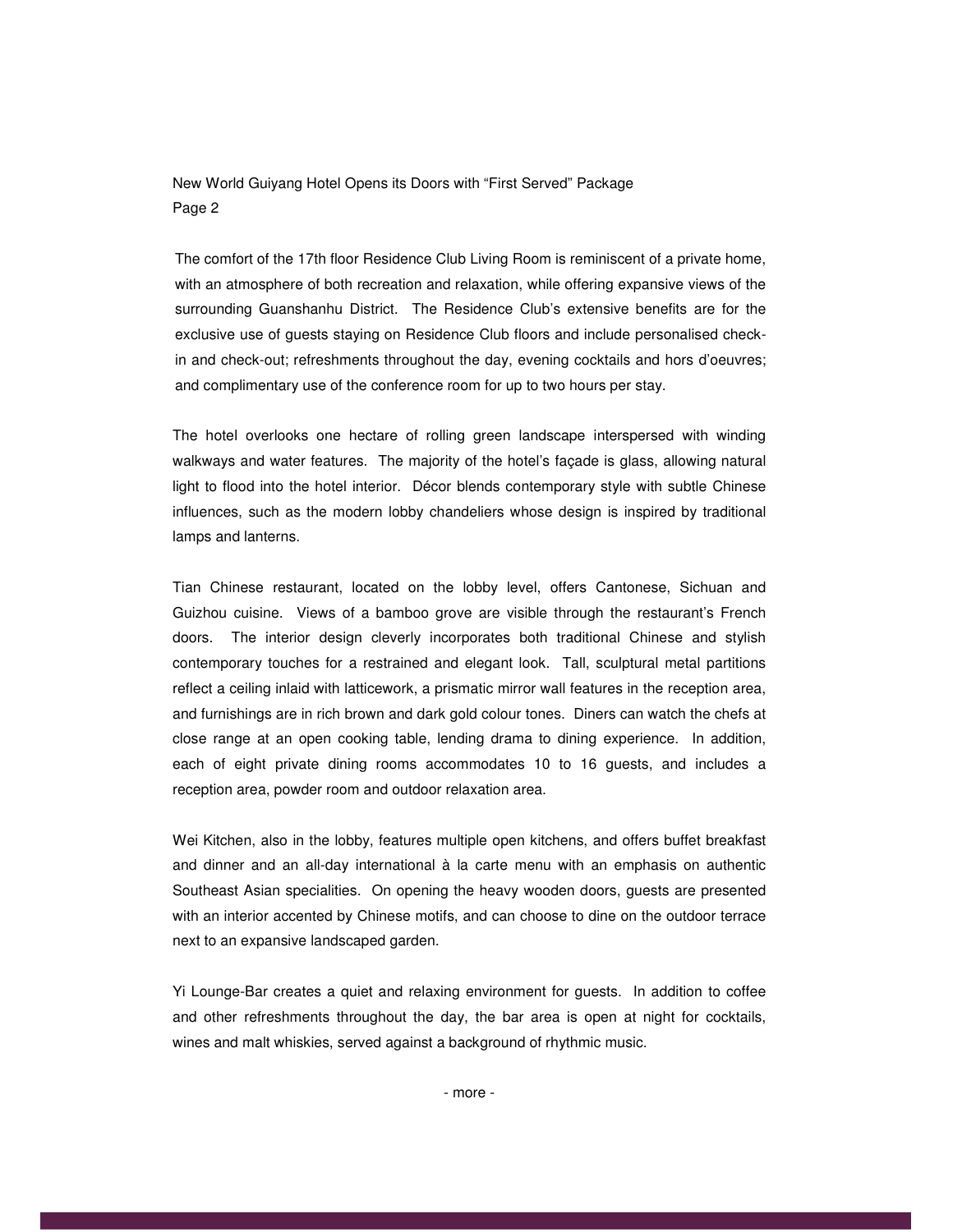New World Guiyang Hotel Opens its Doors with "First Served" Package Page 2

The comfort of the 17th floor Residence Club Living Room is reminiscent of a private home, with an atmosphere of both recreation and relaxation, while offering expansive views of the surrounding Guanshanhu District. The Residence Club's extensive benefits are for the exclusive use of guests staying on Residence Club floors and include personalised checkin and check-out; refreshments throughout the day, evening cocktails and hors d'oeuvres; and complimentary use of the conference room for up to two hours per stay.

The hotel overlooks one hectare of rolling green landscape interspersed with winding walkways and water features. The majority of the hotel's façade is glass, allowing natural light to flood into the hotel interior. Décor blends contemporary style with subtle Chinese influences, such as the modern lobby chandeliers whose design is inspired by traditional lamps and lanterns.

Tian Chinese restaurant, located on the lobby level, offers Cantonese, Sichuan and Guizhou cuisine. Views of a bamboo grove are visible through the restaurant's French doors. The interior design cleverly incorporates both traditional Chinese and stylish contemporary touches for a restrained and elegant look. Tall, sculptural metal partitions reflect a ceiling inlaid with latticework, a prismatic mirror wall features in the reception area, and furnishings are in rich brown and dark gold colour tones. Diners can watch the chefs at close range at an open cooking table, lending drama to dining experience. In addition, each of eight private dining rooms accommodates 10 to 16 guests, and includes a reception area, powder room and outdoor relaxation area.

Wei Kitchen, also in the lobby, features multiple open kitchens, and offers buffet breakfast and dinner and an all-day international à la carte menu with an emphasis on authentic Southeast Asian specialities. On opening the heavy wooden doors, guests are presented with an interior accented by Chinese motifs, and can choose to dine on the outdoor terrace next to an expansive landscaped garden.

Yi Lounge-Bar creates a quiet and relaxing environment for guests. In addition to coffee and other refreshments throughout the day, the bar area is open at night for cocktails, wines and malt whiskies, served against a background of rhythmic music.

- more -